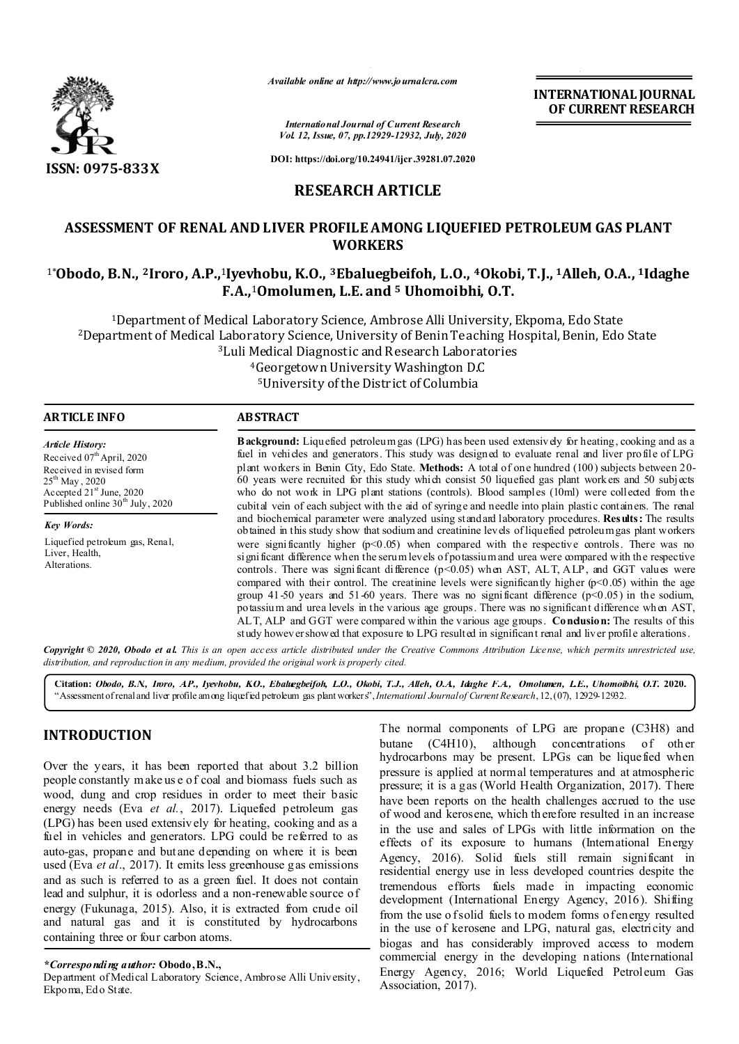

*Available online at http://www.journalcra.com*

**INTERNATIONAL JOURNAL OF CURRENT RESEARCH**

*International Journal of Current Research Vol. 12, Issue, 07, pp.12929-12932, July, 2020*

**DOI: https://doi.org/10.24941/ijcr.39281.07.2020**

# **RESEARCH ARTICLE**

# **ASSESSMENT OF RENAL AND LIVER PROFILE AMONG LIQUEFIED PETROLEUM GAS PLANT WORKERS**

# 1\***Obodo, B.N., 2Iroro, A.P.,**1**Iyevhobu, K.O., 3Ebaluegbeifoh, L.O., 4Okobi, T.J., 1Alleh, O.A., 1Idaghe F.A.,**1**Omolumen, L.E. and 5 Uhomoibhi, O.T.**

1Department of Medical Laboratory Science, Ambrose Alli University, Ekpoma, Edo State 2Department of Medical Laboratory Science, University of Benin Teaching Hospital, Benin, Edo State 3Luli Medical Diagnostic and Research Laboratories 4Georgetown University Washington D.C

5University of the District of Columbia

| <b>ARTICLE INFO</b>                                                                                                                                                                             | <b>ABSTRACT</b>                                                                                                                                                                                                                                                                                                                                                                                                                                                                                                                                                                                                                                                                                                                                                                                                                                            |  |  |  |  |  |
|-------------------------------------------------------------------------------------------------------------------------------------------------------------------------------------------------|------------------------------------------------------------------------------------------------------------------------------------------------------------------------------------------------------------------------------------------------------------------------------------------------------------------------------------------------------------------------------------------------------------------------------------------------------------------------------------------------------------------------------------------------------------------------------------------------------------------------------------------------------------------------------------------------------------------------------------------------------------------------------------------------------------------------------------------------------------|--|--|--|--|--|
| <b>Article History:</b><br>Received 07th April, 2020<br>Received in revised form<br>$25^{th}$ May, 2020<br>Accepted 21 <sup>st</sup> June, 2020<br>Published online 30 <sup>th</sup> July, 2020 | <b>Background:</b> Liquefied petroleum gas (LPG) has been used extensively for heating, cooking and as a<br>fuel in vehicles and generators. This study was designed to evaluate renal and liver profile of LPG<br>plant workers in Benin City, Edo State. Methods: A total of one hundred (100) subjects between 20-<br>60 years were recruited for this study which consist 50 liquefied gas plant workers and 50 subjects<br>who do not work in LPG plant stations (controls). Blood samples (10ml) were collected from the<br>cubital vein of each subject with the aid of syringe and needle into plain plastic containers. The renal<br>and biochemical parameter were analyzed using standard laboratory procedures. Results: The results<br>obtained in this study show that sodium and creatinine levels of liquefied petroleum gas plant workers |  |  |  |  |  |
| <b>Key Words:</b>                                                                                                                                                                               |                                                                                                                                                                                                                                                                                                                                                                                                                                                                                                                                                                                                                                                                                                                                                                                                                                                            |  |  |  |  |  |
| Liquefied petroleum gas, Renal,<br>Liver, Health,<br>Alterations.                                                                                                                               | were significantly higher $(p<0.05)$ when compared with the respective controls. There was no<br>significant difference when the serum levels of potassium and urea were compared with the respective<br>controls. There was significant difference $(p<0.05)$ when AST, ALT, ALP, and GGT values were<br>compared with their control. The creatinine levels were significantly higher $(p<0.05)$ within the age<br>group 41-50 years and 51-60 years. There was no significant difference $(p<0.05)$ in the sodium,<br>potassium and urea levels in the various age groups. There was no significant difference when AST,<br>ALT, ALP and GGT were compared within the various age groups. Condusion: The results of this<br>study however showed that exposure to LPG resulted in significant renal and liver profile alterations.                       |  |  |  |  |  |

Copyright © 2020, Obodo et al. This is an open access article distributed under the Creative Commons Attribution License, which permits unrestricted use, *distribution, and reproduction in any medium, provided the original work is properly cited.*

**Citation:** *Obodo, B.N., Iroro, A.P., Iyevhobu, K.O., Ebaluegbeifoh, L.O., Okobi, T.J., Alleh, O.A., Idaghe F.A., Omolumen, L.E., Uhomoibhi, O.T.* **2020.** "Assessment of renal and liver profile among liquefied petroleum gas plant workers", *International Journal of Current Research*, 12, (07), 12929-12932.

# **INTRODUCTION**

Over the years, it has been reported that about 3.2 billion people constantly make us e of coal and biomass fuels such as wood, dung and crop residues in order to meet their basic energy needs (Eva *et al.*, 2017). Liquefied petroleum gas (LPG) has been used extensiv ely for heating, cooking and as a fuel in vehicles and generators. LPG could be referred to as auto-gas, propane and butane depending on where it is been used (Eva *et al*., 2017). It emits less greenhouse gas emissions and as such is referred to as a green fuel. It does not contain lead and sulphur, it is odorless and a non-renewable source of energy (Fukunaga, 2015). Also, it is extracted from crude oil and natural gas and it is constituted by hydrocarbons containing three or four carbon atoms.

*\*Corresponding author:* **Obodo, B.N.,** 

Department of Medical Laboratory Science, Ambrose Alli University, Ekpoma, Edo State.

The normal components of LPG are propane (C3H8) and butane (C4H10), although concentrations of other hydrocarbons may be present. LPGs can be liquefied when pressure is applied at normal temperatures and at atmospheric pressure; it is a gas (World Health Organization, 2017). There have been reports on the health challenges accrued to the use of wood and kerosene, which th erefore resulted in an increase in the use and sales of LPGs with little information on the effects of its exposure to humans (International Energy Agency, 2016). Solid fuels still remain significant in residential energy use in less developed countries despite the tremendous efforts fuels made in impacting economic development (International Energy Agency, 2016). Shifting from the use of solid fuels to modern forms of energy resulted in the use of kerosene and LPG, natural gas, electricity and biogas and has considerably improved access to modern commercial energy in the developing nations (International Energy Agency, 2016; World Liquefied Petroleum Gas Association, 2017).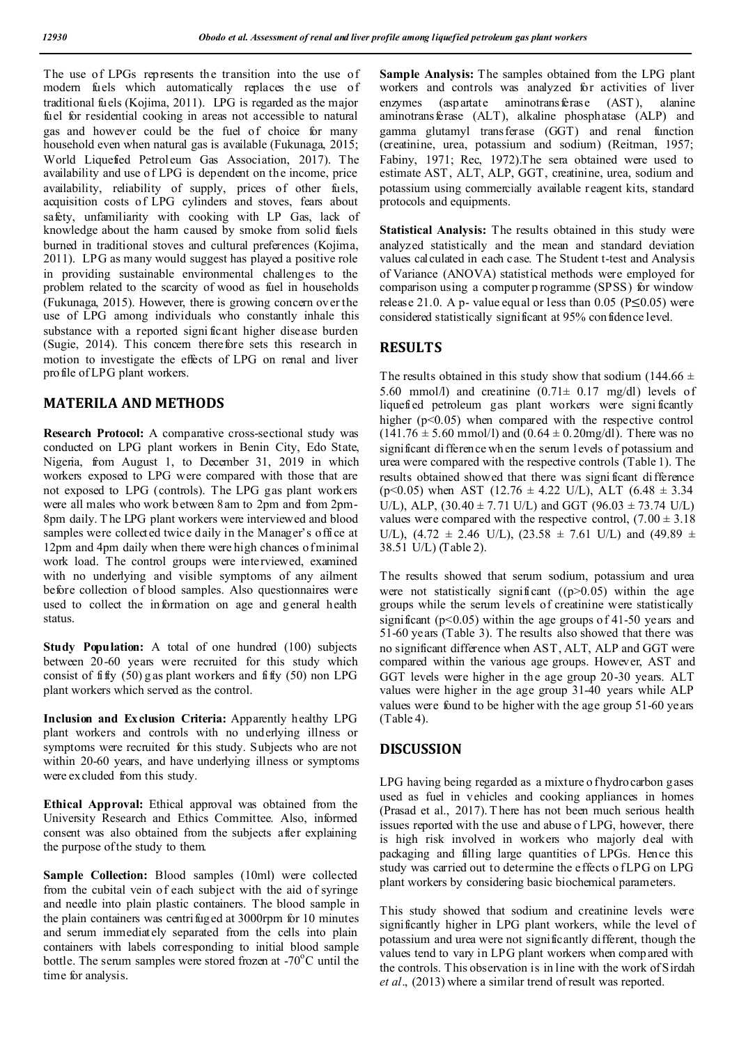The use of LPGs represents the transition into the use of modern fuels which automatically replaces the use of traditional fuels (Kojima, 2011). LPG is regarded as the major fuel for residential cooking in areas not accessible to natural gas and however could be the fuel of choice for many household even when natural gas is available (Fukunaga, 2015; World Liquefied Petroleum Gas Association, 2017). The availability and use of LPG is dependent on the income, price availability, reliability of supply, prices of other fuels, acquisition costs of LPG cylinders and stoves, fears about safety, unfamiliarity with cooking with LP Gas, lack of knowledge about the harm caused by smoke from solid fuels burned in traditional stoves and cultural preferences (Kojima, 2011). LPG as many would suggest has played a positive role in providing sustainable environmental challenges to the problem related to the scarcity of wood as fuel in households (Fukunaga, 2015). However, there is growing concern over the use of LPG among individuals who constantly inhale this substance with a reported signi ficant higher disease burden (Sugie, 2014). This concern therefore sets this research in motion to investigate the effects of LPG on renal and liver profile of LPG plant workers.

# **MATERILA AND METHODS**

**Research Protocol:** A comparative cross-sectional study was conducted on LPG plant workers in Benin City, Edo State, Nigeria, from August 1, to December 31, 2019 in which workers exposed to LPG were compared with those that are not exposed to LPG (controls). The LPG gas plant workers were all males who work between 8am to 2pm and from 2pm-8pm daily. T he LPG plant workers were interviewed and blood samples were collected twice daily in the Manager's office at 12pm and 4pm daily when there were high chances of minimal work load. The control groups were interviewed, examined with no underlying and visible symptoms of any ailment before collection of blood samples. Also questionnaires were used to collect the information on age and general health status.

**Study Population:** A total of one hundred (100) subjects between 20-60 years were recruited for this study which consist of fifty  $(50)$  g as plant workers and fifty  $(50)$  non LPG plant workers which served as the control.

**Inclusion and Exclusion Criteria:** Apparently healthy LPG plant workers and controls with no underlying illness or symptoms were recruited for this study. Subjects who are not within 20-60 years, and have underlying illness or symptoms were excluded from this study.

**Ethical Approval:** Ethical approval was obtained from the University Research and Ethics Committee. Also, informed consent was also obtained from the subjects after explaining the purpose of the study to them.

**Sample Collection:** Blood samples (10ml) were collected from the cubital vein of each subject with the aid of syringe and needle into plain plastic containers. The blood sample in the plain containers was centrifuged at 3000rpm for 10 minutes and serum immediately separated from the cells into plain containers with labels corresponding to initial blood sample bottle. The serum samples were stored frozen at  $-70^{\circ}$ C until the time for analysis.

Sample Analysis: The samples obtained from the LPG plant workers and controls was analyzed for activities of liver enzymes (aspartate aminotransferase (AST), alanine aminotrans ferase (ALT), alkaline phosphatase (ALP) and gamma glutamyl transferase (GGT) and renal function (creatinine, urea, potassium and sodium) (Reitman, 1957; Fabiny, 1971; Rec, 1972).The sera obtained were used to estimate AST, ALT, ALP, GGT, creatinine, urea, sodium and potassium using commercially available reagent kits, standard protocols and equipments.

**Statistical Analysis:** The results obtained in this study were analyzed statistically and the mean and standard deviation values calculated in each case. The Student t-test and Analysis of Variance (ANOVA) statistical methods were employed for comparison using a computer p rogramme (SPSS) for window release 21.0. A p- value equal or less than 0.05 ( $P \le 0.05$ ) were considered statistically significant at 95% confidence level.

## **RESULTS**

The results obtained in this study show that sodium (144.66  $\pm$ 5.60 mmol $\ell$ ) and creatinine  $(0.71 \pm 0.17 \text{ mg/dl})$  levels of liquefied petroleum gas plant workers were signi ficantly higher  $(p<0.05)$  when compared with the respective control  $(141.76 \pm 5.60 \text{ mmol/l})$  and  $(0.64 \pm 0.20 \text{ mg/dl})$ . There was no significant difference wh en the serum levels of potassium and urea were compared with the respective controls (Table 1). The results obtained showed that there was signi ficant difference (p<0.05) when AST (12.76  $\pm$  4.22 U/L), ALT (6.48  $\pm$  3.34 U/L), ALP,  $(30.40 \pm 7.71 \text{ U/L})$  and GGT  $(96.03 \pm 73.74 \text{ U/L})$ values were compared with the respective control,  $(7.00 \pm 3.18)$ U/L),  $(4.72 \pm 2.46 \text{ U/L})$ ,  $(23.58 \pm 7.61 \text{ U/L})$  and  $(49.89 \pm 1.61 \text{ U/L})$ 38.51 U/L) (Table 2).

The results showed that serum sodium, potassium and urea were not statistically significant  $((p>0.05))$  within the age groups while the serum levels of creatinine were statistically significant ( $p<0.05$ ) within the age groups of 41-50 years and 51-60 years (Table 3). The results also showed that there was no significant difference when AST, ALT, ALP and GGT were compared within the various age groups. However, AST and GGT levels were higher in the age group 20-30 years. ALT values were higher in the age group 31-40 years while ALP values were found to be higher with the age group 51-60 years (Table 4).

# **DISCUSSION**

LPG having being regarded as a mixture o fhydrocarbon gases used as fuel in vehicles and cooking appliances in homes (Prasad et al., 2017). T here has not been much serious health issues reported with the use and abuse o f LPG, however, there is high risk involved in workers who majorly deal with packaging and filling large quantities of LPGs. Hence this study was carried out to determine the effects o f LPG on LPG plant workers by considering basic biochemical parameters.

This study showed that sodium and creatinine levels were significantly higher in LPG plant workers, while the level of potassium and urea were not significantly different, though the values tend to vary in LPG plant workers when comp ared with the controls. This observation is in line with the work of Sirdah *et al*., (2013) where a similar trend of result was reported.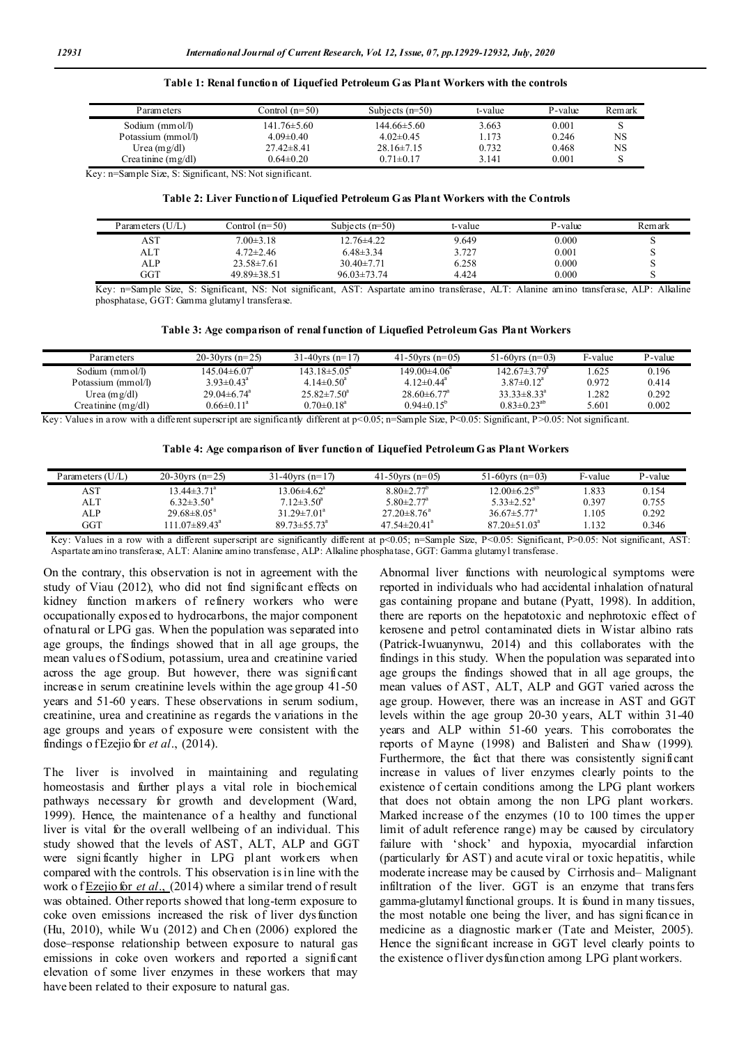#### **Table 1: Renal function of Liquefied Petroleum Gas Plant Workers with the controls**

| Parameters           | Control (n=50)   | Subjects $(n=50)$ | t-value | P-value | Remark |
|----------------------|------------------|-------------------|---------|---------|--------|
| Sodium (mm ol/l)     | 141.76±5.60      | 144.66±5.60       | 3.663   | 0.001   |        |
| Potassium (mmol/l)   | $4.09 \pm 0.40$  | $4.02\pm0.45$     | 1.173   | 0.246   | NS     |
| Urea $(mg/dl)$       | $27.42 \pm 8.41$ | $28.16\pm7.15$    | 0.732   | 0.468   | NS     |
| Creatinine $(mg/dl)$ | $0.64 \pm 0.20$  | $0.71 \pm 0.17$   | 3.141   | 0.001   |        |

Key: n=Sample Size, S: Significant, NS: Not significant.

#### **Table 2: Liver Function of Liquefied Petroleum Gas Plant Workers with the Controls**

| Parameters (U/L) | Control $(n=50)$  | Subjects $(n=50)$ | t-value | P-value | Remark |
|------------------|-------------------|-------------------|---------|---------|--------|
| AST              | $7.00 \pm 3.18$   | $12.76 \pm 4.22$  | 9.649   | 0.000   |        |
| ALT              | $4.72 \pm 2.46$   | $6.48\pm3.34$     | 3.727   | 0.001   |        |
| ALP              | $23.58 \pm 7.61$  | $30.40 \pm 7.71$  | 6.258   | 0.000   |        |
| $_{\rm GGT}$     | $49.89 \pm 38.51$ | $96.03 \pm 73.74$ | 4.424   | 0.000   | ت      |

Key: n=Sample Size, S: Significant, NS: Not significant, AST: Aspartate amino transferase, ALT: Alanine amino transferase, ALP: Alkaline phosphatase, GGT: Gamma glutamyl transferase.

#### **Table 3: Age comparison of renal function of Liquefied Petroleum Gas Plant Workers**

| Parameters         | 20-30 $\text{vrs}$ (n=25)      | 31-40 vrs $(n=17)$        | 41-50 yrs $(n=05)$            | 51-60 $vrs(n=03)$              | F-value | P-value |
|--------------------|--------------------------------|---------------------------|-------------------------------|--------------------------------|---------|---------|
| Sodium $(mmol/l)$  | $145.04 \pm 6.07$ <sup>a</sup> | $143.18 \pm 5.05^{\circ}$ | $149.00\pm4.06^{\circ}$       | $142.67 \pm 3.79$ <sup>a</sup> | 1.625   | 0.196   |
| Potassium (mmol/l) | $3.93 \pm 0.43^{\circ}$        | $4.14 \pm 0.50^a$         | 4.12 $\pm$ 0.44 <sup>a</sup>  | $3.87 \pm 0.12^{\circ}$        | 0.972   | 0.414   |
| Urea (mg/dl)       | $29.04\pm6.74^{\circ}$         | $25.82 \pm 7.50^{\circ}$  | $28.60 \pm 6.77$ <sup>a</sup> | $33.33 \pm 8.33^a$             | .282    | 0.292   |
| Creatinine (mg/dl) | $0.66 \pm 0.11^a$              | $0.70 \pm 0.18^a$         | $0.94\pm0.15^{\circ}$         | $0.83 \pm 0.23^{ab}$           | 5.601   | 0.002   |

Key: Values in a row with a different superscript are significantly different at  $p<0.05$ ; n=Sample Size, P<0.05: Significant, P>0.05: Not significant.

|  |  |  | Table 4: Age comparison of liver function of Liquefied Petroleum G as Plant Workers |  |  |
|--|--|--|-------------------------------------------------------------------------------------|--|--|
|  |  |  |                                                                                     |  |  |

| Parameters $(U/L)$ | 20-30 $\text{vrs}$ (n=25) | 31-40 $vrs(n=17)$           | 41-50 yrs $(n=05)$           | 51-60 $vrs(n=03)$             | F-value | P-value |
|--------------------|---------------------------|-----------------------------|------------------------------|-------------------------------|---------|---------|
| AST                | $13.44 \pm 3.71^{\circ}$  | $13.06\pm4.62^{\mathrm{a}}$ | $8.80 \pm 2.77$ <sup>b</sup> | $12.00\pm6.25^{ab}$           | .833    | 0.154   |
| ALT                | $6.32 \pm 3.50^{\circ}$   | $7.12 \pm 3.50^a$           | $5.80 \pm 2.77$ <sup>a</sup> | $5.33 \pm 2.52^{\text{a}}$    | 0.397   | 0.755   |
| ALP                | $29.68 \pm 8.05^{\circ}$  | $31.29 \pm 7.01^{\circ}$    | $27.20 \pm 8.76^{\circ}$     | $36.67 \pm 5.77$ <sup>a</sup> | .105    | 0.292   |
| GGT                | $11.07 \pm 89.43^{\circ}$ | $89.73 \pm 55.73^{\circ}$   | $47.54 \pm 20.41^a$          | $87.20 \pm 51.03^{\circ}$     | l.132   | 0.346   |
|                    |                           |                             |                              |                               |         |         |

Key: Values in a row with a different superscript are significantly different at p<0.05; n=Sample Size, P<0.05; Significant, P>0.05; Not significant, AST; Aspartate amino transferase, ALT: Alanine amino transferase, ALP: Alkaline phosphatase, GGT: Gamma glutamyl transferase.

On the contrary, this observation is not in agreement with the study of Viau (2012), who did not find significant effects on kidney function markers of refinery workers who were occupationally exposed to hydrocarbons, the major component of natu ral or LPG gas. When the population was separated into age groups, the findings showed that in all age groups, the mean valu es of Sodium, potassium, urea and creatinine varied across the age group. But however, there was significant increase in serum creatinine levels within the age group 41-50 years and 51-60 years. These observations in serum sodium, creatinine, urea and creatinine as regards the variations in the age groups and years of exposure were consistent with the findings o f Ezejio for *et al*., (2014).

The liver is involved in maintaining and regulating homeostasis and further plays a vital role in biochemical pathways necessary for growth and development (Ward, 1999). Hence, the maintenance of a healthy and functional liver is vital for the overall wellbeing of an individual. This study showed that the levels of AST, ALT, ALP and GGT were signi ficantly higher in LPG plant workers when compared with the controls. T his observation is in line with the work o f **Ezejio for** *et al.*, (2014) where a similar trend of result was obtained. Other reports showed that long-term exposure to coke oven emissions increased the risk of liver dysfunction (Hu, 2010), while Wu (2012) and Ch en (2006) explored the dose–response relationship between exposure to natural gas emissions in coke oven workers and reported a significant elevation of some liver enzymes in these workers that may have been related to their exposure to natural gas.

Abnormal liver functions with neurological symptoms were reported in individuals who had accidental inhalation of natural gas containing propane and butane (Pyatt, 1998). In addition, there are reports on the hepatotoxic and nephrotoxic effect of kerosene and petrol contaminated diets in Wistar albino rats (Patrick-Iwuanynwu, 2014) and this collaborates with the findings in this study. When the population was separated into age groups the findings showed that in all age groups, the mean values of AST, ALT, ALP and GGT varied across the age group. However, there was an increase in AST and GGT levels within the age group 20-30 years, ALT within 31-40 years and ALP within 51-60 years. This corroborates the reports of Mayne (1998) and Balisteri and Shaw (1999). Furthermore, the fact that there was consistently significant increase in values of liver enzymes clearly points to the existence of certain conditions among the LPG plant workers that does not obtain among the non LPG plant workers. Marked increase of the enzymes (10 to 100 times the upper limit of adult reference range) may be caused by circulatory failure with 'shock' and hypoxia, myocardial infarction (particularly for AST) and acute viral or toxic hepatitis, while moderate increase may be caused by Cirrhosis and– Malignant infiltration of the liver. GGT is an enzyme that transfers gamma-glutamyl functional groups. It is found in many tissues, the most notable one being the liver, and has signi ficance in medicine as a diagnostic marker (Tate and Meister, 2005). Hence the significant increase in GGT level clearly points to the existence of liver dysfunction among LPG plant workers.